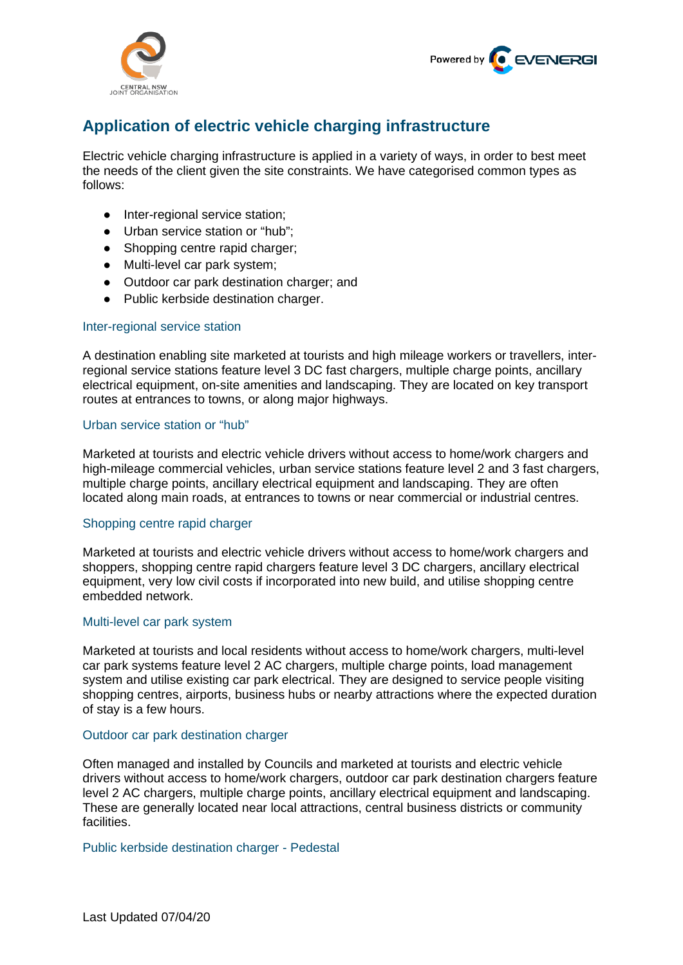



# **Application of electric vehicle charging infrastructure**

Electric vehicle charging infrastructure is applied in a variety of ways, in order to best meet the needs of the client given the site constraints. We have categorised common types as follows:

- Inter-regional service station;
- Urban service station or "hub";
- Shopping centre rapid charger;
- Multi-level car park system;
- Outdoor car park destination charger; and
- Public kerbside destination charger.

#### Inter-regional service station

A destination enabling site marketed at tourists and high mileage workers or travellers, interregional service stations feature level 3 DC fast chargers, multiple charge points, ancillary electrical equipment, on-site amenities and landscaping. They are located on key transport routes at entrances to towns, or along major highways.

## Urban service station or "hub"

Marketed at tourists and electric vehicle drivers without access to home/work chargers and high-mileage commercial vehicles, urban service stations feature level 2 and 3 fast chargers, multiple charge points, ancillary electrical equipment and landscaping. They are often located along main roads, at entrances to towns or near commercial or industrial centres.

## Shopping centre rapid charger

Marketed at tourists and electric vehicle drivers without access to home/work chargers and shoppers, shopping centre rapid chargers feature level 3 DC chargers, ancillary electrical equipment, very low civil costs if incorporated into new build, and utilise shopping centre embedded network.

## Multi-level car park system

Marketed at tourists and local residents without access to home/work chargers, multi-level car park systems feature level 2 AC chargers, multiple charge points, load management system and utilise existing car park electrical. They are designed to service people visiting shopping centres, airports, business hubs or nearby attractions where the expected duration of stay is a few hours.

#### Outdoor car park destination charger

Often managed and installed by Councils and marketed at tourists and electric vehicle drivers without access to home/work chargers, outdoor car park destination chargers feature level 2 AC chargers, multiple charge points, ancillary electrical equipment and landscaping. These are generally located near local attractions, central business districts or community facilities.

#### Public kerbside destination charger - Pedestal